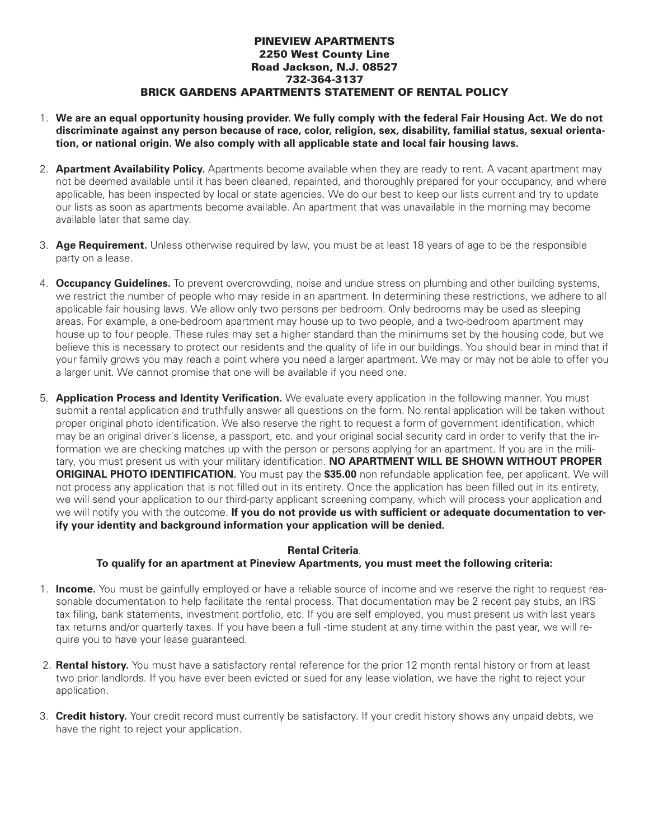## **PINEVIEW APARTMENTS 2250 West County Line Road Jackson, N.J. 08527 732-364-3137 BRICK GARDENS APARTMENTS STATEMENT OF RENTAL POLICY**

- 1. We are an equal opportunity housing provider. We fully comply with the federal Fair Housing Act. We do not **discriminate against any person because of race, color, religion, sex, disability, familial status, sexual orientation, or national origin. We also comply with all applicable state and local fair housing laws.**
- 2. **Apartment Availability Policy.** Apartments become available when they are ready to rent. A vacant apartment may not be deemed available until it has been cleaned, repainted, and thoroughly prepared for your occupancy, and where applicable, has been inspected by local or state agencies. We do our best to keep our lists current and try to update our lists as soon as apartments become available. An apartment that was unavailable in the morning may become available later that same day.
- 3. **Age Requirement.** Unless otherwise required by law, you must be at least 18 years of age to be the responsible party on a lease.
- 4. **Occupancy Guidelines.** To prevent overcrowding, noise and undue stress on plumbing and other building systems, we restrict the number of people who may reside in an apartment. In determining these restrictions, we adhere to all applicable fair housing laws. We allow only two persons per bedroom. Only bedrooms may be used as sleeping areas. For example, a one-bedroom apartment may house up to two people, and a two-bedroom apartment may house up to four people. These rules may set a higher standard than the minimums set by the housing code, but we believe this is necessary to protect our residents and the quality of life in our buildings. You should bear in mind that if your family grows you may reach a point where you need a larger apartment. We may or may not be able to offer you a larger unit. We cannot promise that one will be available if you need one.
- 5. **Application Process and Identity Verification.** We evaluate every application in the following manner. You must submit a rental application and truthfully answer all questions on the form. No rental application will be taken without proper original photo identification. We also reserve the right to request a form of government identification, which may be an original driver's license, a passport, etc. and your original social security card in order to verify that the information we are checking matches up with the person or persons applying for an apartment. If you are in the military, you must present us with your military identification. **NO APARTMENT WILL BE SHOWN WITHOUT PROPER ORIGINAL PHOTO IDENTIFICATION.** You must pay the **\$35.00** non refundable application fee, per applicant. We will not process any application that is not filled out in its entirety. Once the application has been filled out in its entirety, we will send your application to our third-party applicant screening company, which will process your application and we will notify you with the outcome. **If you do not provide us with sufficient or adequate documentation to verify your identity and background information your application will be denied.**

## **Rental Criteria**.

## **To qualify for an apartment at Pineview Apartments, you must meet the following criteria:**

- 1. **Income.** You must be gainfully employed or have a reliable source of income and we reserve the right to request reasonable documentation to help facilitate the rental process. That documentation may be 2 recent pay stubs, an IRS tax filing, bank statements, investment portfolio, etc. If you are self employed, you must present us with last years tax returns and/or quarterly taxes. If you have been a full -time student at any time within the past year, we will require you to have your lease guaranteed.
- 2. **Rental history.** You must have a satisfactory rental reference for the prior 12 month rental history or from at least two prior landlords. If you have ever been evicted or sued for any lease violation, we have the right to reject your application.
- 3. **Credit history.** Your credit record must currently be satisfactory. If your credit history shows any unpaid debts, we have the right to reject your application.